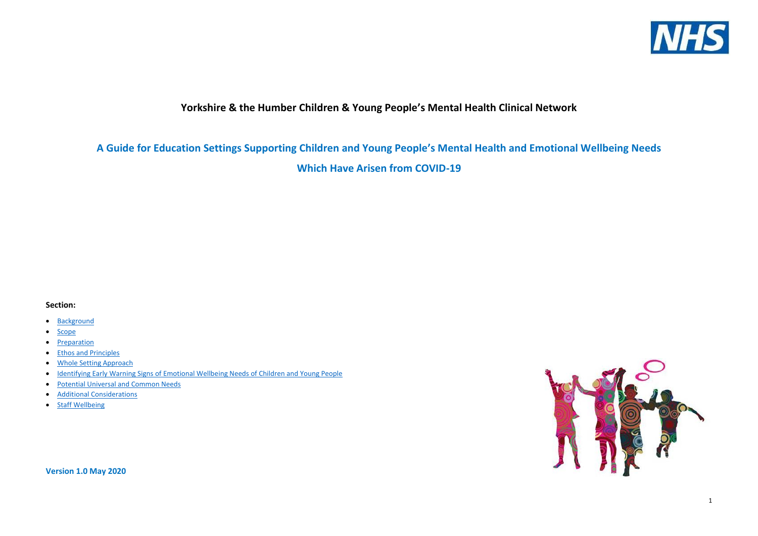**Yorkshire & the Humber Children & Young People's Mental Health Clinical Network**

**A Guide for Education Settings Supporting Children and Young People's Mental Health and Emotional Wellbeing Needs Which Have Arisen from COVID-19**

## **Section:**

- [Background](#page-1-0)
- [Scope](#page-1-1)
- [Preparation](#page-1-2)
- [Ethos and Principles](#page-1-3)
- [Whole Setting Approach](#page-2-0)
- [Identifying Early Warning Signs of Emotional Wellbeing Needs of Children and Young People](#page-2-1)
- [Potential Universal and Common Needs](#page-4-0)
- [Additional Considerations](#page-8-0)
- [Staff Wellbeing](#page-15-0)



**Version 1.0 May 2020**



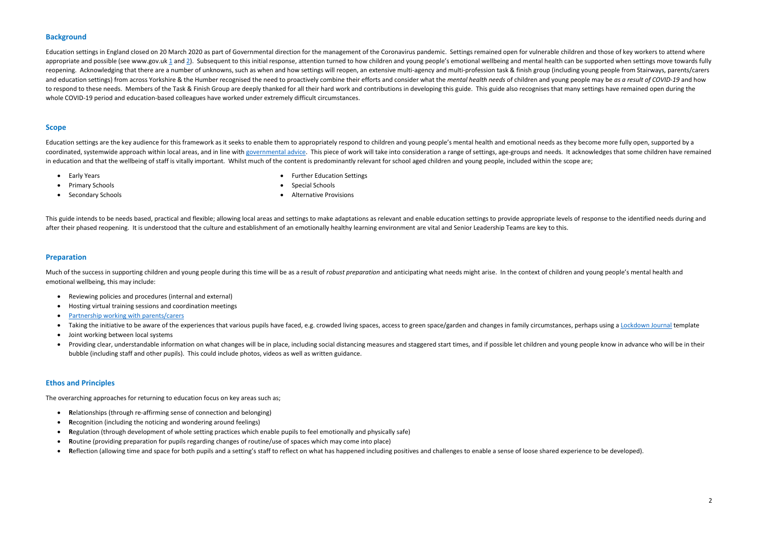## <span id="page-1-0"></span>**Background**

Education settings in England closed on 20 March 2020 as part of Governmental direction for the management of the Coronavirus pandemic. Settings remained open for vulnerable children and those of key workers to attend wher appropriate and possible (see www.gov.uk [1](https://www.gov.uk/government/publications/covid-19-school-closures/guidance-for-schools-about-temporarily-closing) an[d 2\)](https://www.gov.uk/government/publications/coronavirus-covid-19-guidance-on-vulnerable-children-and-young-people). Subsequent to this initial response, attention turned to how children and young people's emotional wellbeing and mental health can be supported when settings move towards reopening. Acknowledging that there are a number of unknowns, such as when and how settings will reopen, an extensive multi-agency and multi-profession task & finish group (including young people from Stairways, parents/ca and education settings) from across Yorkshire & the Humber recognised the need to proactively combine their efforts and consider what the mental health needs of children and young people may be as a result of COVID-19 and to respond to these needs. Members of the Task & Finish Group are deeply thanked for all their hard work and contributions in developing this guide. This guide also recognises that many settings have remained open during t whole COVID-19 period and education-based colleagues have worked under extremely difficult circumstances.

Education settings are the key audience for this framework as it seeks to enable them to appropriately respond to children and young people's mental health and emotional needs as they become more fully open, supported by a coordinated, systemwide approach within local areas, and in line wit[h governmental advice.](https://www.gov.uk/government/publications/actions-for-educational-and-childcare-settings-to-prepare-for-wider-opening-from-1-june-2020#2020-05-12T17:15:41Z) This piece of work will take into consideration a range of settings, age-groups and needs. It acknowledges that some children have in education and that the wellbeing of staff is vitally important. Whilst much of the content is predominantly relevant for school aged children and young people, included within the scope are;

## <span id="page-1-1"></span>**Scope**

Much of the success in supporting children and young people during this time will be as a result of robust preparation and anticipating what needs might arise. In the context of children and young people's mental health an emotional wellbeing, this may include:

- Early Years
- Primary Schools
- Secondary Schools
- Further Education Settings
- Special Schools
- Alternative Provisions

This guide intends to be needs based, practical and flexible; allowing local areas and settings to make adaptations as relevant and enable education settings to provide appropriate levels of response to the identified need after their phased reopening. It is understood that the culture and establishment of an emotionally healthy learning environment are vital and Senior Leadership Teams are key to this.

## <span id="page-1-2"></span>**Preparation**

- Reviewing policies and procedures (internal and external)
- Hosting virtual training sessions and coordination meetings
- [Partnership working with parents/carers](https://www.gov.uk/government/publications/closure-of-educational-settings-information-for-parents-and-carers#2020-05-11T17:57:37Z)
- Taking the initiative to be aware of the experiences that various pupils have faced, e.g. crowded living spaces, access to green space/garden and changes in family circumstances, perhaps using a [Lockdown Journal](https://padlet-uploads.storage.googleapis.com/550793108/d11101176e610f14d78d642f57e5fc2c/Lockdown_Journal.pdf) template
- Joint working between local systems
- Providing clear, understandable information on what changes will be in place, including social distancing measures and staggered start times, and if possible let children and young people know in advance who will be in t bubble (including staff and other pupils). This could include photos, videos as well as written guidance.

## <span id="page-1-3"></span>**Ethos and Principles**

The overarching approaches for returning to education focus on key areas such as;

- **R**elationships (through re-affirming sense of connection and belonging)
- **R**ecognition (including the noticing and wondering around feelings)
- **R**egulation (through development of whole setting practices which enable pupils to feel emotionally and physically safe)
- **R**outine (providing preparation for pupils regarding changes of routine/use of spaces which may come into place)
- **R**eflection (allowing time and space for both pupils and a setting's staff to reflect on what has happened including positives and challenges to enable a sense of loose shared experience to be developed).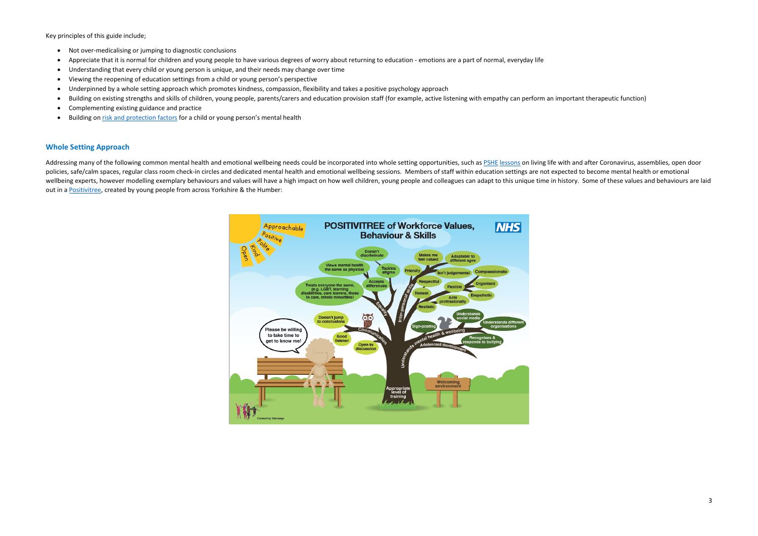<span id="page-2-1"></span>Key principles of this guide include;

- Not over-medicalising or jumping to diagnostic conclusions
- Appreciate that it is normal for children and young people to have various degrees of worry about returning to education emotions are a part of normal, everyday life
- Understanding that every child or young person is unique, and their needs may change over time
- Viewing the reopening of education settings from a child or young person's perspective
- Underpinned by a whole setting approach which promotes kindness, compassion, flexibility and takes a positive psychology approach
- Building on existing strengths and skills of children, young people, parents/carers and education provision staff (for example, active listening with empathy can perform an important therapeutic function)
- Complementing existing guidance and practice
- Building o[n risk and protection factors](https://www.mentallyhealthyschools.org.uk/risks-and-protective-factors/school-based-risk-factors/) for a child or young person's mental health

## <span id="page-2-0"></span>**Whole Setting Approach**

Addressing many of the following common mental health and emotional wellbeing needs could be incorporated into whole setting opportunities, such as [PSHE](https://www.pshe-association.org.uk/content/coronavirus-hub) [lessons](http://www.chameleonpde.com/) on living life with and after Coronavirus, assemblies, open d policies, safe/calm spaces, regular class room check-in circles and dedicated mental health and emotional wellbeing sessions. Members of staff within education settings are not expected to become mental health or emotional wellbeing experts, however modelling exemplary behaviours and values will have a high impact on how well children, young people and colleagues can adapt to this unique time in history. Some of these values and behaviours a out in a [Positivitree,](http://www.yhscn.nhs.uk/media/PDFs/children/CYP%20Involve/Stairways-Positivitree.pdf) created by young people from across Yorkshire & the Humber:

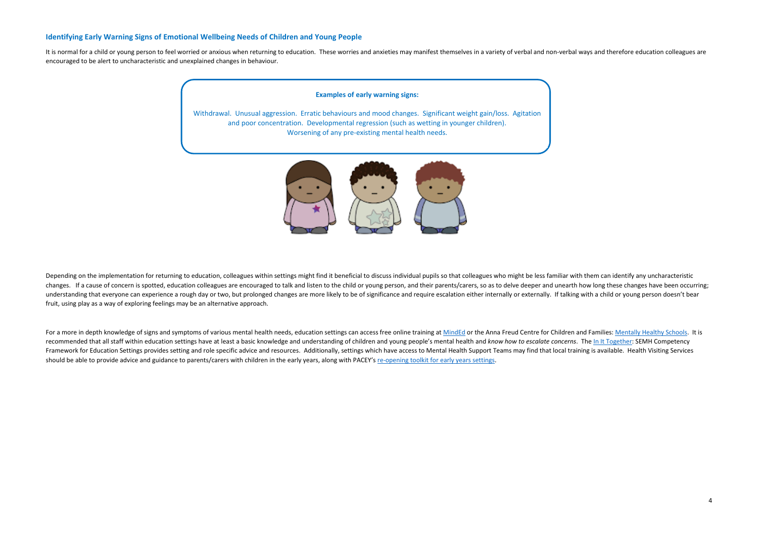## **Identifying Early Warning Signs of Emotional Wellbeing Needs of Children and Young People**

It is normal for a child or young person to feel worried or anxious when returning to education. These worries and anxieties may manifest themselves in a variety of verbal and non-verbal ways and therefore education collea encouraged to be alert to uncharacteristic and unexplained changes in behaviour.

Depending on the implementation for returning to education, colleagues within settings might find it beneficial to discuss individual pupils so that colleagues who might be less familiar with them can identify any uncharac changes. If a cause of concern is spotted, education colleagues are encouraged to talk and listen to the child or young person, and their parents/carers, so as to delve deeper and unearth how long these changes have been o understanding that everyone can experience a rough day or two, but prolonged changes are more likely to be of significance and require escalation either internally or externally. If talking with a child or young person doe fruit, using play as a way of exploring feelings may be an alternative approach.

For a more in depth knowledge of signs and symptoms of various mental health needs, education settings can access free online training at [MindEd](https://www.minded.org.uk/) or the Anna Freud Centre for Children and Families: [Mentally Healthy Schools.](https://www.mentallyhealthyschools.org.uk/mental-health-needs/) recommended that all staff within education settings have at least a basic knowledge and understanding of children and young people's mental health and know how to escalate concerns. The [In It Together:](http://www.yhscn.nhs.uk/children-network/Childrens-SEMH-Competency-Framework.php) SEMH Competency Framework for Education Settings provides setting and role specific advice and resources. Additionally, settings which have access to Mental Health Support Teams may find that local training is available. Health Visiting S should be able to provide advice and guidance to parents/carers with children in the early years, along with PACEY's [re-opening toolkit for early years settings.](https://www.pacey.org.uk/working-in-childcare/spotlight-on/coronavirus/reopening-settings-coronavirus/)

## **Examples of early warning signs:**

Withdrawal. Unusual aggression. Erratic behaviours and mood changes. Significant weight gain/loss. Agitation and poor concentration. Developmental regression (such as wetting in younger children). Worsening of any pre-existing mental health needs.

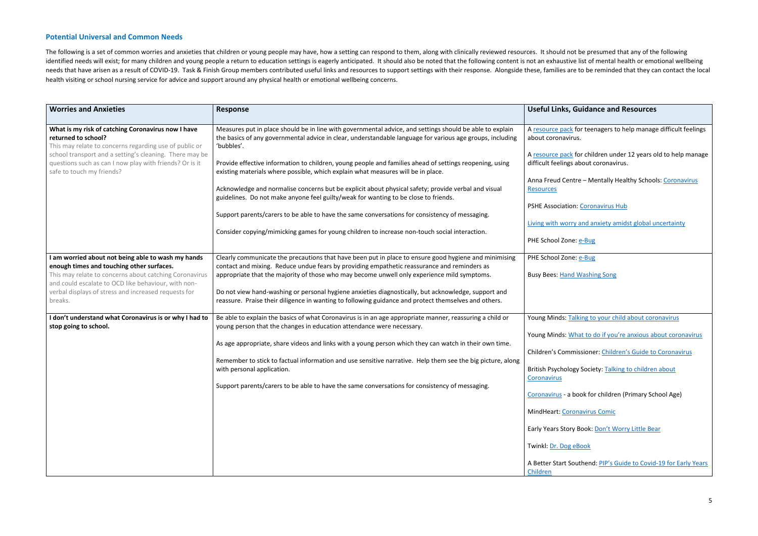## <span id="page-4-0"></span>**Potential Universal and Common Needs**

The following is a set of common worries and anxieties that children or young people may have, how a setting can respond to them, along with clinically reviewed resources. It should not be presumed that any of the followin identified needs will exist; for many children and young people a return to education settings is eagerly anticipated. It should also be noted that the following content is not an exhaustive list of mental health or emotio needs that have arisen as a result of COVID-19. Task & Finish Group members contributed useful links and resources to support settings with their response. Alongside these, families are to be reminded that they can contact health visiting or school nursing service for advice and support around any physical health or emotional wellbeing concerns.

| <b>Worries and Anxieties</b>                                                                                                                                                                                                                                                        | <b>Response</b>                                                                                                                                                                                                                                                                                                                                                                                                                                                                                                                           | <b>Useful Links, Guidance and Resources</b>                                                                                                                                                                                                                                                                                                                |
|-------------------------------------------------------------------------------------------------------------------------------------------------------------------------------------------------------------------------------------------------------------------------------------|-------------------------------------------------------------------------------------------------------------------------------------------------------------------------------------------------------------------------------------------------------------------------------------------------------------------------------------------------------------------------------------------------------------------------------------------------------------------------------------------------------------------------------------------|------------------------------------------------------------------------------------------------------------------------------------------------------------------------------------------------------------------------------------------------------------------------------------------------------------------------------------------------------------|
| What is my risk of catching Coronavirus now I have<br>returned to school?<br>This may relate to concerns regarding use of public or                                                                                                                                                 | Measures put in place should be in line with governmental advice, and settings should be able to explain<br>the basics of any governmental advice in clear, understandable language for various age groups, including<br>'bubbles'.                                                                                                                                                                                                                                                                                                       | A resource pack for teenagers to help manag<br>about coronavirus.                                                                                                                                                                                                                                                                                          |
| school transport and a setting's cleaning. There may be<br>questions such as can I now play with friends? Or is it<br>safe to touch my friends?                                                                                                                                     | Provide effective information to children, young people and families ahead of settings reopening, using<br>existing materials where possible, which explain what measures will be in place.                                                                                                                                                                                                                                                                                                                                               | A resource pack for children under 12 years of<br>difficult feelings about coronavirus.                                                                                                                                                                                                                                                                    |
|                                                                                                                                                                                                                                                                                     | Acknowledge and normalise concerns but be explicit about physical safety; provide verbal and visual<br>guidelines. Do not make anyone feel guilty/weak for wanting to be close to friends.                                                                                                                                                                                                                                                                                                                                                | Anna Freud Centre - Mentally Healthy Schoo<br><b>Resources</b>                                                                                                                                                                                                                                                                                             |
|                                                                                                                                                                                                                                                                                     | Support parents/carers to be able to have the same conversations for consistency of messaging.                                                                                                                                                                                                                                                                                                                                                                                                                                            | <b>PSHE Association: Coronavirus Hub</b><br>Living with worry and anxiety amidst global u                                                                                                                                                                                                                                                                  |
|                                                                                                                                                                                                                                                                                     | Consider copying/mimicking games for young children to increase non-touch social interaction.                                                                                                                                                                                                                                                                                                                                                                                                                                             | PHE School Zone: e-Bug                                                                                                                                                                                                                                                                                                                                     |
| I am worried about not being able to wash my hands<br>enough times and touching other surfaces.<br>This may relate to concerns about catching Coronavirus<br>and could escalate to OCD like behaviour, with non-<br>verbal displays of stress and increased requests for<br>breaks. | Clearly communicate the precautions that have been put in place to ensure good hygiene and minimising<br>contact and mixing. Reduce undue fears by providing empathetic reassurance and reminders as<br>appropriate that the majority of those who may become unwell only experience mild symptoms.<br>Do not view hand-washing or personal hygiene anxieties diagnostically, but acknowledge, support and<br>reassure. Praise their diligence in wanting to following guidance and protect themselves and others.                        | PHE School Zone: e-Bug<br><b>Busy Bees: Hand Washing Song</b>                                                                                                                                                                                                                                                                                              |
| I don't understand what Coronavirus is or why I had to<br>stop going to school.                                                                                                                                                                                                     | Be able to explain the basics of what Coronavirus is in an age appropriate manner, reassuring a child or<br>young person that the changes in education attendance were necessary.<br>As age appropriate, share videos and links with a young person which they can watch in their own time.<br>Remember to stick to factual information and use sensitive narrative. Help them see the big picture, along<br>with personal application.<br>Support parents/carers to be able to have the same conversations for consistency of messaging. | Young Minds: Talking to your child about cord<br>Young Minds: What to do if you're anxious at<br>Children's Commissioner: Children's Guide to<br>British Psychology Society: Talking to childrer<br>Coronavirus<br>Coronavirus - a book for children (Primary Scl<br><b>MindHeart: Coronavirus Comic</b><br>Early Years Story Book: Don't Worry Little Bea |
|                                                                                                                                                                                                                                                                                     |                                                                                                                                                                                                                                                                                                                                                                                                                                                                                                                                           | Twinkl: Dr. Dog eBook<br>A Better Start Southend: PIP's Guide to Covid<br>Children                                                                                                                                                                                                                                                                         |

| <b>Useful Links, Guidance and Resources</b>                                                             |
|---------------------------------------------------------------------------------------------------------|
| A resource pack for teenagers to help manage difficult feelings<br>about coronavirus.                   |
| A resource pack for children under 12 years old to help manage<br>difficult feelings about coronavirus. |
| Anna Freud Centre - Mentally Healthy Schools: Coronavirus<br><b>Resources</b>                           |
| PSHE Association: Coronavirus Hub                                                                       |
| Living with worry and anxiety amidst global uncertainty                                                 |
| PHE School Zone: e-Bug                                                                                  |
| PHE School Zone: e-Bug                                                                                  |
| <b>Busy Bees: Hand Washing Song</b>                                                                     |
|                                                                                                         |
| Young Minds: Talking to your child about coronavirus                                                    |
| Young Minds: What to do if you're anxious about coronavirus                                             |
| Children's Commissioner: Children's Guide to Coronavirus                                                |
| British Psychology Society: Talking to children about<br>Coronavirus                                    |
| Coronavirus - a book for children (Primary School Age)                                                  |
| MindHeart: Coronavirus Comic                                                                            |
| Early Years Story Book: Don't Worry Little Bear                                                         |
| Twinkl: Dr. Dog eBook                                                                                   |
| A Better Start Southend: PIP's Guide to Covid-19 for Early Years<br>Children                            |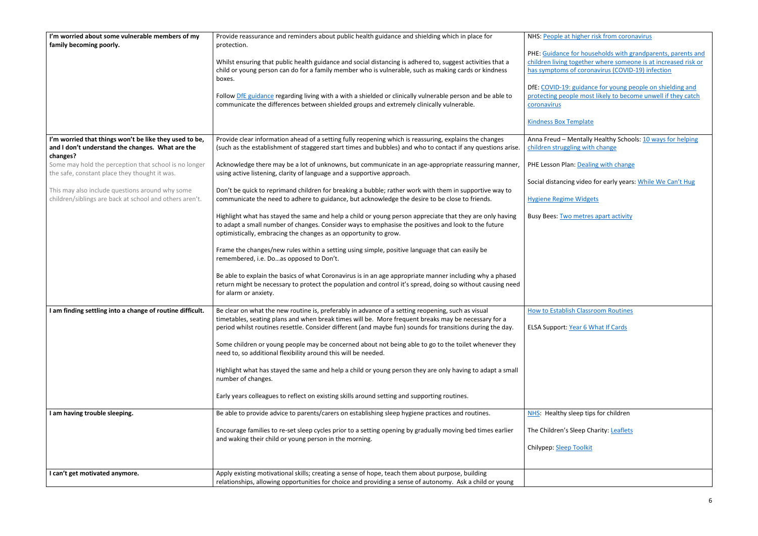| I'm worried about some vulnerable members of my<br>family becoming poorly.                                 | Provide reassurance and reminders about public health guidance and shielding which in place for<br>protection.                                                                                                        | NHS: People at I        |
|------------------------------------------------------------------------------------------------------------|-----------------------------------------------------------------------------------------------------------------------------------------------------------------------------------------------------------------------|-------------------------|
|                                                                                                            |                                                                                                                                                                                                                       | <b>PHE: Guidance f</b>  |
|                                                                                                            | Whilst ensuring that public health guidance and social distancing is adhered to, suggest activities that a                                                                                                            | children living to      |
|                                                                                                            | child or young person can do for a family member who is vulnerable, such as making cards or kindness<br>boxes.                                                                                                        | has symptoms of         |
|                                                                                                            |                                                                                                                                                                                                                       | DfE: COVID-19:          |
|                                                                                                            | Follow DfE guidance regarding living with a with a shielded or clinically vulnerable person and be able to                                                                                                            | protecting peop         |
|                                                                                                            | communicate the differences between shielded groups and extremely clinically vulnerable.                                                                                                                              | coronavirus             |
|                                                                                                            |                                                                                                                                                                                                                       |                         |
|                                                                                                            |                                                                                                                                                                                                                       | <b>Kindness Box Te</b>  |
|                                                                                                            |                                                                                                                                                                                                                       | Anna Freud - M          |
| I'm worried that things won't be like they used to be,<br>and I don't understand the changes. What are the | Provide clear information ahead of a setting fully reopening which is reassuring, explains the changes<br>(such as the establishment of staggered start times and bubbles) and who to contact if any questions arise. | children struggli       |
| changes?                                                                                                   |                                                                                                                                                                                                                       |                         |
| Some may hold the perception that school is no longer                                                      |                                                                                                                                                                                                                       | PHE Lesson Plan         |
|                                                                                                            | Acknowledge there may be a lot of unknowns, but communicate in an age-appropriate reassuring manner,                                                                                                                  |                         |
| the safe, constant place they thought it was.                                                              | using active listening, clarity of language and a supportive approach.                                                                                                                                                |                         |
|                                                                                                            |                                                                                                                                                                                                                       | Social distancing       |
| This may also include questions around why some                                                            | Don't be quick to reprimand children for breaking a bubble; rather work with them in supportive way to                                                                                                                |                         |
| children/siblings are back at school and others aren't.                                                    | communicate the need to adhere to guidance, but acknowledge the desire to be close to friends.                                                                                                                        | <b>Hygiene Regime</b>   |
|                                                                                                            |                                                                                                                                                                                                                       |                         |
|                                                                                                            | Highlight what has stayed the same and help a child or young person appreciate that they are only having                                                                                                              | <b>Busy Bees: Two</b>   |
|                                                                                                            | to adapt a small number of changes. Consider ways to emphasise the positives and look to the future                                                                                                                   |                         |
|                                                                                                            |                                                                                                                                                                                                                       |                         |
|                                                                                                            | optimistically, embracing the changes as an opportunity to grow.                                                                                                                                                      |                         |
|                                                                                                            |                                                                                                                                                                                                                       |                         |
|                                                                                                            | Frame the changes/new rules within a setting using simple, positive language that can easily be                                                                                                                       |                         |
|                                                                                                            | remembered, i.e. Doas opposed to Don't.                                                                                                                                                                               |                         |
|                                                                                                            |                                                                                                                                                                                                                       |                         |
|                                                                                                            | Be able to explain the basics of what Coronavirus is in an age appropriate manner including why a phased                                                                                                              |                         |
|                                                                                                            | return might be necessary to protect the population and control it's spread, doing so without causing need                                                                                                            |                         |
|                                                                                                            | for alarm or anxiety.                                                                                                                                                                                                 |                         |
|                                                                                                            |                                                                                                                                                                                                                       |                         |
| I am finding settling into a change of routine difficult.                                                  | Be clear on what the new routine is, preferably in advance of a setting reopening, such as visual                                                                                                                     | <b>How to Establish</b> |
|                                                                                                            |                                                                                                                                                                                                                       |                         |
|                                                                                                            | timetables, seating plans and when break times will be. More frequent breaks may be necessary for a                                                                                                                   |                         |
|                                                                                                            | period whilst routines resettle. Consider different (and maybe fun) sounds for transitions during the day.                                                                                                            | <b>ELSA Support: Y</b>  |
|                                                                                                            |                                                                                                                                                                                                                       |                         |
|                                                                                                            | Some children or young people may be concerned about not being able to go to the toilet whenever they                                                                                                                 |                         |
|                                                                                                            | need to, so additional flexibility around this will be needed.                                                                                                                                                        |                         |
|                                                                                                            |                                                                                                                                                                                                                       |                         |
|                                                                                                            | Highlight what has stayed the same and help a child or young person they are only having to adapt a small                                                                                                             |                         |
|                                                                                                            | number of changes.                                                                                                                                                                                                    |                         |
|                                                                                                            |                                                                                                                                                                                                                       |                         |
|                                                                                                            | Early years colleagues to reflect on existing skills around setting and supporting routines.                                                                                                                          |                         |
|                                                                                                            |                                                                                                                                                                                                                       |                         |
|                                                                                                            |                                                                                                                                                                                                                       |                         |
| I am having trouble sleeping.                                                                              | Be able to provide advice to parents/carers on establishing sleep hygiene practices and routines.                                                                                                                     | NHS: Healthy sl         |
|                                                                                                            |                                                                                                                                                                                                                       |                         |
|                                                                                                            | Encourage families to re-set sleep cycles prior to a setting opening by gradually moving bed times earlier                                                                                                            | The Children's S        |
|                                                                                                            | and waking their child or young person in the morning.                                                                                                                                                                |                         |
|                                                                                                            |                                                                                                                                                                                                                       | Chilypep: Sleep         |
|                                                                                                            |                                                                                                                                                                                                                       |                         |
|                                                                                                            |                                                                                                                                                                                                                       |                         |
| I can't get motivated anymore.                                                                             | Apply existing motivational skills; creating a sense of hope, teach them about purpose, building                                                                                                                      |                         |
|                                                                                                            | relationships, allowing opportunities for choice and providing a sense of autonomy. Ask a child or young                                                                                                              |                         |
|                                                                                                            |                                                                                                                                                                                                                       |                         |

higher risk from coronavirus for households with grandparents, parents and ogether where someone is at increased risk or of coronavirus (COVID-19) infection guidance for young people on shielding and ple most likely to become unwell if they catch emplate Mentally Healthy Schools: 10 ways for helping ling with change n[: Dealing with change](https://campaignresources.phe.gov.uk/schools/resources/dealing-with-change-lesson-plan-pack) g video for early years: <u>[While We Can't Hug](https://youtu.be/2PnnFrPaRgY)</u> e Widgets metres apart activity h Classroom Routines ear 6 What If Cards sleep tips for children Sleep Charity: [Leaflets](https://www.thechildrenssleepcharity.org.uk/leaflets.php) Toolkit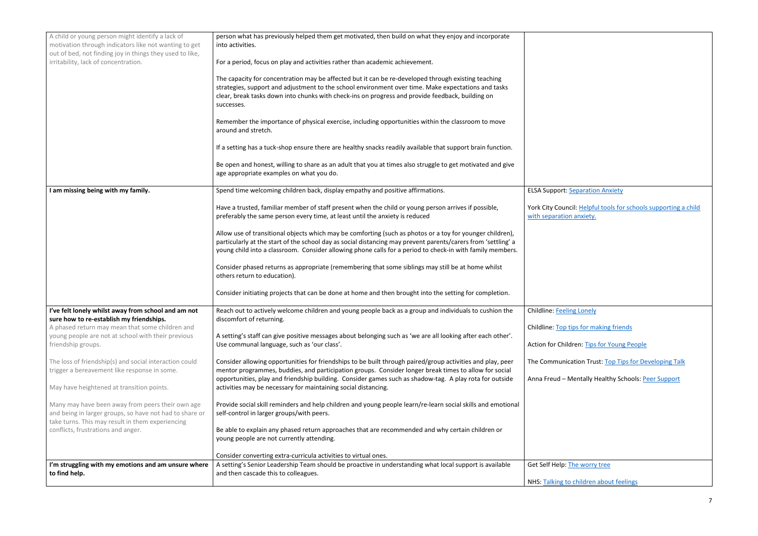| A child or young person might identify a lack of<br>motivation through indicators like not wanting to get<br>out of bed, not finding joy in things they used to like, | person what has previously helped them get motivated, then build on what they enjoy and incorporate<br>into activities.                                                                                                                                                                                                                 |                                     |
|-----------------------------------------------------------------------------------------------------------------------------------------------------------------------|-----------------------------------------------------------------------------------------------------------------------------------------------------------------------------------------------------------------------------------------------------------------------------------------------------------------------------------------|-------------------------------------|
| irritability, lack of concentration.                                                                                                                                  | For a period, focus on play and activities rather than academic achievement.                                                                                                                                                                                                                                                            |                                     |
|                                                                                                                                                                       | The capacity for concentration may be affected but it can be re-developed through existing teaching<br>strategies, support and adjustment to the school environment over time. Make expectations and tasks<br>clear, break tasks down into chunks with check-ins on progress and provide feedback, building on<br>successes.            |                                     |
|                                                                                                                                                                       | Remember the importance of physical exercise, including opportunities within the classroom to move<br>around and stretch.                                                                                                                                                                                                               |                                     |
|                                                                                                                                                                       | If a setting has a tuck-shop ensure there are healthy snacks readily available that support brain function.                                                                                                                                                                                                                             |                                     |
|                                                                                                                                                                       | Be open and honest, willing to share as an adult that you at times also struggle to get motivated and give<br>age appropriate examples on what you do.                                                                                                                                                                                  |                                     |
| I am missing being with my family.                                                                                                                                    | Spend time welcoming children back, display empathy and positive affirmations.                                                                                                                                                                                                                                                          | ELSA Support: Se                    |
|                                                                                                                                                                       | Have a trusted, familiar member of staff present when the child or young person arrives if possible,<br>preferably the same person every time, at least until the anxiety is reduced                                                                                                                                                    | York City Counci<br>with separation |
|                                                                                                                                                                       | Allow use of transitional objects which may be comforting (such as photos or a toy for younger children),<br>particularly at the start of the school day as social distancing may prevent parents/carers from 'settling' a<br>young child into a classroom. Consider allowing phone calls for a period to check-in with family members. |                                     |
|                                                                                                                                                                       | Consider phased returns as appropriate (remembering that some siblings may still be at home whilst<br>others return to education).                                                                                                                                                                                                      |                                     |
|                                                                                                                                                                       | Consider initiating projects that can be done at home and then brought into the setting for completion.                                                                                                                                                                                                                                 |                                     |
| I've felt lonely whilst away from school and am not<br>sure how to re-establish my friendships.                                                                       | Reach out to actively welcome children and young people back as a group and individuals to cushion the<br>discomfort of returning.                                                                                                                                                                                                      | Childline: Feeling                  |
| A phased return may mean that some children and                                                                                                                       |                                                                                                                                                                                                                                                                                                                                         | Childline: Top tip                  |
| young people are not at school with their previous<br>friendship groups.                                                                                              | A setting's staff can give positive messages about belonging such as 'we are all looking after each other'.<br>Use communal language, such as 'our class'.                                                                                                                                                                              | Action for Childr                   |
| The loss of friendship(s) and social interaction could<br>trigger a bereavement like response in some.                                                                | Consider allowing opportunities for friendships to be built through paired/group activities and play, peer<br>mentor programmes, buddies, and participation groups. Consider longer break times to allow for social                                                                                                                     | The Communica                       |
| May have heightened at transition points.                                                                                                                             | opportunities, play and friendship building. Consider games such as shadow-tag. A play rota for outside<br>activities may be necessary for maintaining social distancing.                                                                                                                                                               | Anna Freud - M                      |
| Many may have been away from peers their own age<br>and being in larger groups, so have not had to share or                                                           | Provide social skill reminders and help children and young people learn/re-learn social skills and emotional<br>self-control in larger groups/with peers.                                                                                                                                                                               |                                     |
| take turns. This may result in them experiencing<br>conflicts, frustrations and anger.                                                                                | Be able to explain any phased return approaches that are recommended and why certain children or<br>young people are not currently attending.                                                                                                                                                                                           |                                     |
|                                                                                                                                                                       | Consider converting extra-curricula activities to virtual ones.                                                                                                                                                                                                                                                                         |                                     |
| I'm struggling with my emotions and am unsure where<br>to find help.                                                                                                  | A setting's Senior Leadership Team should be proactive in understanding what local support is available<br>and then cascade this to colleagues.                                                                                                                                                                                         | Get Self Help: Th                   |
|                                                                                                                                                                       |                                                                                                                                                                                                                                                                                                                                         | NHS: Talking to                     |

**Eparation Anxiety** 

il: Helpful tools for schools supporting a child anxiety.

ng Lonely

ips for making friends

ren[: Tips for Young People](https://www.actionforchildren.org.uk/how-to-help/support-our-campaigns/jo-cox-commission-on-loneliness/tips-for-young-people/)

ation Trust[: Top Tips for Developing Talk](https://www.thecommunicationtrust.org.uk/media/617945/tct_toptips_pdf.pdf)

Aentally Healthy Schools: [Peer Support](https://www.mentallyhealthyschools.org.uk/whole-school-approach/school-and-local-commissioning/promotion-and-prevention/peer-support/)

he worry tree

children about feelings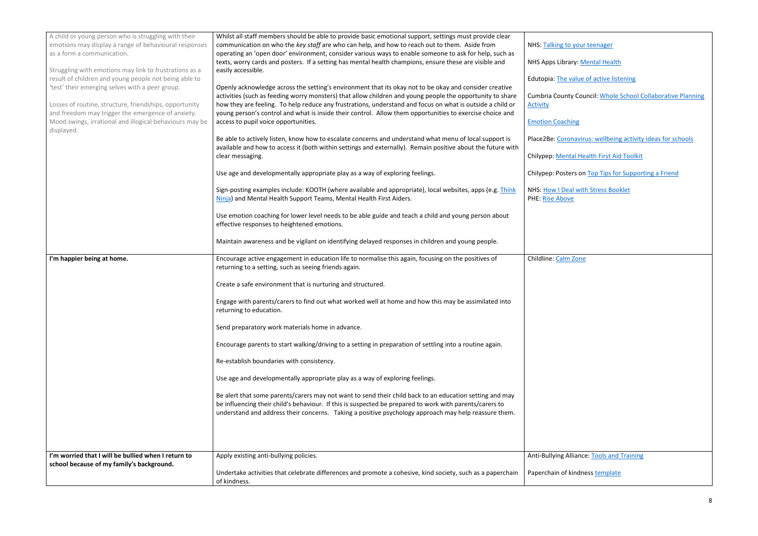| A child or young person who is struggling with their<br>emotions may display a range of behavioural responses<br>as a form a communication.<br>Struggling with emotions may link to frustrations as a<br>result of children and young people not being able to<br>'test' their emerging selves with a peer group.<br>Losses of routine, structure, friendships, opportunity<br>and freedom may trigger the emergence of anxiety.<br>Mood swings, irrational and illogical behaviours may be<br>displayed.<br>I'm happier being at home. | Whilst all staff members should be able to provide basic emotional support, settings must provide clear<br>communication on who the key staff are who can help, and how to reach out to them. Aside from<br>operating an 'open door' environment, consider various ways to enable someone to ask for help, such as<br>texts, worry cards and posters. If a setting has mental health champions, ensure these are visible and<br>easily accessible.<br>Openly acknowledge across the setting's environment that its okay not to be okay and consider creative<br>activities (such as feeding worry monsters) that allow children and young people the opportunity to share<br>how they are feeling. To help reduce any frustrations, understand and focus on what is outside a child or<br>young person's control and what is inside their control. Allow them opportunities to exercise choice and<br>access to pupil voice opportunities.<br>Be able to actively listen, know how to escalate concerns and understand what menu of local support is<br>available and how to access it (both within settings and externally). Remain positive about the future with<br>clear messaging.<br>Use age and developmentally appropriate play as a way of exploring feelings.<br>Sign-posting examples include: KOOTH (where available and appropriate), local websites, apps (e.g. Think<br>Ninja) and Mental Health Support Teams, Mental Health First Aiders.<br>Use emotion coaching for lower level needs to be able guide and teach a child and young person about<br>effective responses to heightened emotions.<br>Maintain awareness and be vigilant on identifying delayed responses in children and young people.<br>Encourage active engagement in education life to normalise this again, focusing on the positives of<br>returning to a setting, such as seeing friends again.<br>Create a safe environment that is nurturing and structured.<br>Engage with parents/carers to find out what worked well at home and how this may be assimilated into<br>returning to education.<br>Send preparatory work materials home in advance.<br>Encourage parents to start walking/driving to a setting in preparation of settling into a routine again.<br>Re-establish boundaries with consistency.<br>Use age and developmentally appropriate play as a way of exploring feelings.<br>Be alert that some parents/carers may not want to send their child back to an education setting and may<br>be influencing their child's behaviour. If this is suspected be prepared to work with parents/carers to<br>understand and address their concerns. Taking a positive psychology approach may help reassure them. | NHS: Talking to<br>NHS Apps Librar<br>Edutopia: The va<br>Cumbria County<br><b>Activity</b><br><b>Emotion Coachin</b><br>Place2Be: Coron<br>Chilypep: Menta<br>Chilypep: Poster<br><b>NHS: How I Deal</b><br><b>PHE: Rise Above</b><br>Childline: Calm 2 |
|-----------------------------------------------------------------------------------------------------------------------------------------------------------------------------------------------------------------------------------------------------------------------------------------------------------------------------------------------------------------------------------------------------------------------------------------------------------------------------------------------------------------------------------------|---------------------------------------------------------------------------------------------------------------------------------------------------------------------------------------------------------------------------------------------------------------------------------------------------------------------------------------------------------------------------------------------------------------------------------------------------------------------------------------------------------------------------------------------------------------------------------------------------------------------------------------------------------------------------------------------------------------------------------------------------------------------------------------------------------------------------------------------------------------------------------------------------------------------------------------------------------------------------------------------------------------------------------------------------------------------------------------------------------------------------------------------------------------------------------------------------------------------------------------------------------------------------------------------------------------------------------------------------------------------------------------------------------------------------------------------------------------------------------------------------------------------------------------------------------------------------------------------------------------------------------------------------------------------------------------------------------------------------------------------------------------------------------------------------------------------------------------------------------------------------------------------------------------------------------------------------------------------------------------------------------------------------------------------------------------------------------------------------------------------------------------------------------------------------------------------------------------------------------------------------------------------------------------------------------------------------------------------------------------------------------------------------------------------------------------------------------------------------------------------------------------------------------------------------------------------------------------------------------------------------------------------------------------------------------------------------------------------|----------------------------------------------------------------------------------------------------------------------------------------------------------------------------------------------------------------------------------------------------------|
| I'm worried that I will be bullied when I return to<br>school because of my family's background.                                                                                                                                                                                                                                                                                                                                                                                                                                        | Apply existing anti-bullying policies.                                                                                                                                                                                                                                                                                                                                                                                                                                                                                                                                                                                                                                                                                                                                                                                                                                                                                                                                                                                                                                                                                                                                                                                                                                                                                                                                                                                                                                                                                                                                                                                                                                                                                                                                                                                                                                                                                                                                                                                                                                                                                                                                                                                                                                                                                                                                                                                                                                                                                                                                                                                                                                                                              | Anti-Bullying Alli                                                                                                                                                                                                                                       |
|                                                                                                                                                                                                                                                                                                                                                                                                                                                                                                                                         | Undertake activities that celebrate differences and promote a cohesive, kind society, such as a paperchain<br>of kindness.                                                                                                                                                                                                                                                                                                                                                                                                                                                                                                                                                                                                                                                                                                                                                                                                                                                                                                                                                                                                                                                                                                                                                                                                                                                                                                                                                                                                                                                                                                                                                                                                                                                                                                                                                                                                                                                                                                                                                                                                                                                                                                                                                                                                                                                                                                                                                                                                                                                                                                                                                                                          | Paperchain of ki                                                                                                                                                                                                                                         |

your teenager

ry: **Mental Health** 

alue of active listening

y Council: **Whole School Collaborative Planning** 

## $\frac{e}{2}$

navirus: wellbeing activity ideas for schools

al Health First Aid Toolkit

rs o[n Top Tips for Supporting a Friend](https://www.chilypep.org.uk/uploads/Chilypep%20Top%20Tips%20A4%20Poster%20V2.pdf)

**I with Stress Booklet** 

Zone

**Ilance:** Tools and Training

indness **template**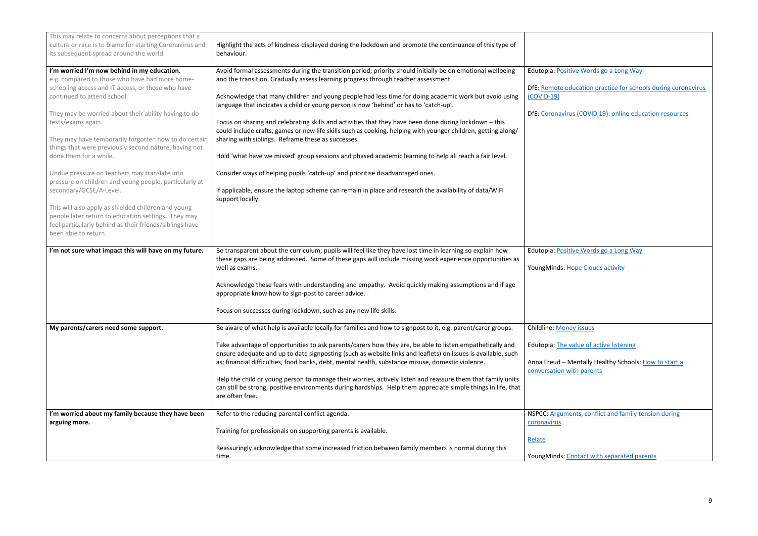<span id="page-8-0"></span>

| This may relate to concerns about perceptions that a<br>culture or race is to blame for starting Coronavirus and<br>its subsequent spread around the world.                                                                                                                                                                                                                                                                                                                                                                                                                                                                                                                                                                                        | Highlight the acts of kindness displayed during the lockdown and promote the continuance of this type of<br>behaviour.                                                                                                                                                                                                                                                                                                                                                                                                                                                                                                                                                                                                                                                                                                                                                                                                                                                                                                                                                                                                                                     |                                                                                                                                                                       |
|----------------------------------------------------------------------------------------------------------------------------------------------------------------------------------------------------------------------------------------------------------------------------------------------------------------------------------------------------------------------------------------------------------------------------------------------------------------------------------------------------------------------------------------------------------------------------------------------------------------------------------------------------------------------------------------------------------------------------------------------------|------------------------------------------------------------------------------------------------------------------------------------------------------------------------------------------------------------------------------------------------------------------------------------------------------------------------------------------------------------------------------------------------------------------------------------------------------------------------------------------------------------------------------------------------------------------------------------------------------------------------------------------------------------------------------------------------------------------------------------------------------------------------------------------------------------------------------------------------------------------------------------------------------------------------------------------------------------------------------------------------------------------------------------------------------------------------------------------------------------------------------------------------------------|-----------------------------------------------------------------------------------------------------------------------------------------------------------------------|
| I'm worried I'm now behind in my education.<br>e.g. compared to those who have had more home-<br>schooling access and IT access, or those who have<br>continued to attend school.<br>They may be worried about their ability having to do<br>tests/exams again.<br>They may have temporarily forgotten how to do certain<br>things that were previously second nature, having not<br>done them for a while.<br>Undue pressure on teachers may translate into<br>pressure on children and young people, particularly at<br>secondary/GCSE/A-Level.<br>This will also apply as shielded children and young<br>people later return to education settings. They may<br>feel particularly behind as their friends/siblings have<br>been able to return. | Avoid formal assessments during the transition period; priority should initially be on emotional wellbeing<br>and the transition. Gradually assess learning progress through teacher assessment.<br>Acknowledge that many children and young people had less time for doing academic work but avoid using<br>language that indicates a child or young person is now 'behind' or has to 'catch-up'.<br>Focus on sharing and celebrating skills and activities that they have been done during lockdown - this<br>could include crafts, games or new life skills such as cooking, helping with younger children, getting along/<br>sharing with siblings. Reframe these as successes.<br>Hold 'what have we missed' group sessions and phased academic learning to help all reach a fair level.<br>Consider ways of helping pupils 'catch-up' and prioritise disadvantaged ones.<br>If applicable, ensure the laptop scheme can remain in place and research the availability of data/WiFi<br>support locally.                                                                                                                                               | Edutopia: Positive Words<br>DfE: Remote education pr<br>$(COVID-19)$<br><b>DfE: Coronavirus (COVID 1</b>                                                              |
| I'm not sure what impact this will have on my future.<br>My parents/carers need some support.                                                                                                                                                                                                                                                                                                                                                                                                                                                                                                                                                                                                                                                      | Be transparent about the curriculum; pupils will feel like they have lost time in learning so explain how<br>these gaps are being addressed. Some of these gaps will include missing work experience opportunities as<br>well as exams.<br>Acknowledge these fears with understanding and empathy. Avoid quickly making assumptions and if age<br>appropriate know how to sign-post to career advice.<br>Focus on successes during lockdown, such as any new life skills.<br>Be aware of what help is available locally for families and how to signpost to it, e.g. parent/carer groups.<br>Take advantage of opportunities to ask parents/carers how they are, be able to listen empathetically and<br>ensure adequate and up to date signposting (such as website links and leaflets) on issues is available, such<br>as; financial difficulties, food banks, debt, mental health, substance misuse, domestic violence.<br>Help the child or young person to manage their worries, actively listen and reassure them that family units<br>can still be strong, positive environments during hardships. Help them appreciate simple things in life, that | Edutopia: Positive Words<br>YoungMinds: Hope Clouds<br>Childline: Money issues<br>Edutopia: The value of act<br>Anna Freud - Mentally He<br>conversation with parents |
| I'm worried about my family because they have been<br>arguing more.                                                                                                                                                                                                                                                                                                                                                                                                                                                                                                                                                                                                                                                                                | are often free.<br>Refer to the reducing parental conflict agenda.<br>Training for professionals on supporting parents is available.<br>Reassuringly acknowledge that some increased friction between family members is normal during this<br>time.                                                                                                                                                                                                                                                                                                                                                                                                                                                                                                                                                                                                                                                                                                                                                                                                                                                                                                        | NSPCC: Arguments, conflio<br>coronavirus<br>Relate<br>YoungMinds: Contact with                                                                                        |

| Edutopia: Positive Words go a Long Way                                             |
|------------------------------------------------------------------------------------|
| DfE: Remote education practice for schools during coronavirus<br>$(COVID-19)$      |
| DfE: Coronavirus (COVID 19): online education resources                            |
|                                                                                    |
|                                                                                    |
|                                                                                    |
|                                                                                    |
|                                                                                    |
|                                                                                    |
| Edutopia: Positive Words go a Long Way                                             |
| YoungMinds: Hope Clouds activity                                                   |
|                                                                                    |
|                                                                                    |
| <b>Childline: Money issues</b>                                                     |
| Edutopia: The value of active listening                                            |
| Anna Freud - Mentally Healthy Schools: How to start a<br>conversation with parents |
|                                                                                    |
| NSPCC: Arguments, conflict and family tension during<br>coronavirus                |
| Relate                                                                             |
| YoungMinds: Contact with separated parents                                         |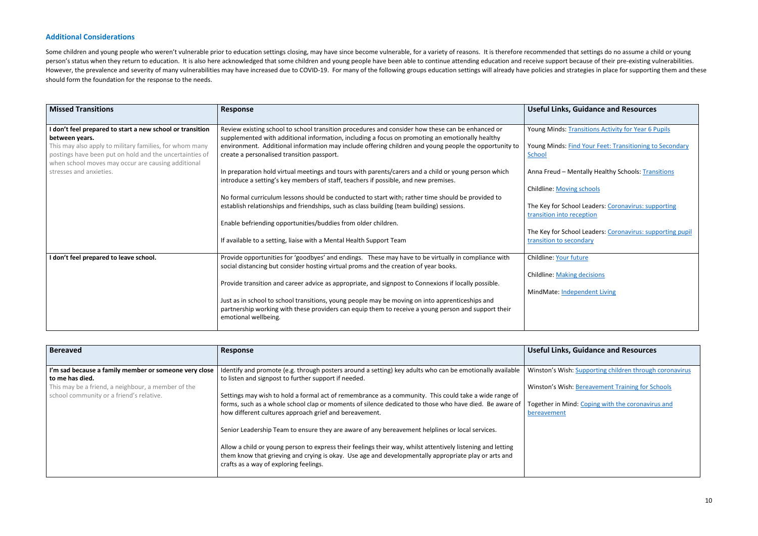## **Additional Considerations**

Some children and young people who weren't vulnerable prior to education settings closing, may have since become vulnerable, for a variety of reasons. It is therefore recommended that settings do no assume a child or young person's status when they return to education. It is also here acknowledged that some children and young people have been able to continue attending education and receive support because of their pre-existing vulnerabiliti However, the prevalence and severity of many vulnerabilities may have increased due to COVID-19. For many of the following groups education settings will already have policies and strategies in place for supporting them an should form the foundation for the response to the needs.

| <b>Missed Transitions</b>                                                                                                                                                | Response                                                                                                                                                                                                                       | <b>Useful Links, Guidance and Resources</b>                                          |
|--------------------------------------------------------------------------------------------------------------------------------------------------------------------------|--------------------------------------------------------------------------------------------------------------------------------------------------------------------------------------------------------------------------------|--------------------------------------------------------------------------------------|
| I don't feel prepared to start a new school or transition<br>between years.                                                                                              | Review existing school to school transition procedures and consider how these can be enhanced or<br>supplemented with additional information, including a focus on promoting an emotionally healthy                            | Young Minds: Transitions Activity for Year 6 Pupils                                  |
| This may also apply to military families, for whom many<br>postings have been put on hold and the uncertainties of<br>when school moves may occur are causing additional | environment. Additional information may include offering children and young people the opportunity to<br>create a personalised transition passport.                                                                            | Young Minds: Find Your Feet: Transitioning to Secondary<br>School                    |
| stresses and anxieties.                                                                                                                                                  | In preparation hold virtual meetings and tours with parents/carers and a child or young person which<br>introduce a setting's key members of staff, teachers if possible, and new premises.                                    | Anna Freud - Mentally Healthy Schools: Transitions                                   |
|                                                                                                                                                                          | No formal curriculum lessons should be conducted to start with; rather time should be provided to                                                                                                                              | <b>Childline: Moving schools</b>                                                     |
|                                                                                                                                                                          | establish relationships and friendships, such as class building (team building) sessions.                                                                                                                                      | The Key for School Leaders: Coronavirus: supporting<br>transition into reception     |
|                                                                                                                                                                          | Enable befriending opportunities/buddies from older children.                                                                                                                                                                  |                                                                                      |
|                                                                                                                                                                          | If available to a setting, liaise with a Mental Health Support Team                                                                                                                                                            | The Key for School Leaders: Coronavirus: supporting pupil<br>transition to secondary |
| I don't feel prepared to leave school.                                                                                                                                   | Provide opportunities for 'goodbyes' and endings. These may have to be virtually in compliance with<br>social distancing but consider hosting virtual proms and the creation of year books.                                    | Childline: Your future                                                               |
|                                                                                                                                                                          | Provide transition and career advice as appropriate, and signpost to Connexions if locally possible.                                                                                                                           | <b>Childline: Making decisions</b>                                                   |
|                                                                                                                                                                          |                                                                                                                                                                                                                                | MindMate: Independent Living                                                         |
|                                                                                                                                                                          | Just as in school to school transitions, young people may be moving on into apprenticeships and<br>partnership working with these providers can equip them to receive a young person and support their<br>emotional wellbeing. |                                                                                      |

| <b>Bereaved</b>                                                          | <b>Response</b>                                                                                                                                                                                                                                               | <b>Useful Links, C</b> |
|--------------------------------------------------------------------------|---------------------------------------------------------------------------------------------------------------------------------------------------------------------------------------------------------------------------------------------------------------|------------------------|
|                                                                          |                                                                                                                                                                                                                                                               |                        |
| I'm sad because a family member or someone very close<br>to me has died. | Identify and promote (e.g. through posters around a setting) key adults who can be emotionally available<br>to listen and signpost to further support if needed.                                                                                              | Winston's Wish:        |
| This may be a friend, a neighbour, a member of the                       |                                                                                                                                                                                                                                                               | Winston's Wish:        |
| school community or a friend's relative.                                 | Settings may wish to hold a formal act of remembrance as a community. This could take a wide range of                                                                                                                                                         |                        |
|                                                                          | forms, such as a whole school clap or moments of silence dedicated to those who have died. Be aware of                                                                                                                                                        | Together in Mino       |
|                                                                          | how different cultures approach grief and bereavement.                                                                                                                                                                                                        | bereavement            |
|                                                                          | Senior Leadership Team to ensure they are aware of any bereavement helplines or local services.                                                                                                                                                               |                        |
|                                                                          | Allow a child or young person to express their feelings their way, whilst attentively listening and letting<br>them know that grieving and crying is okay. Use age and developmentally appropriate play or arts and<br>crafts as a way of exploring feelings. |                        |

## **Guidance and Resources**

[Supporting children through coronavirus](https://www.winstonswish.org/coronavirus/)

**[Bereavement Training for Schools](https://www.winstonswish.org/bereavement-training-courses-schools/)** 

Id: Coping with the coronavirus and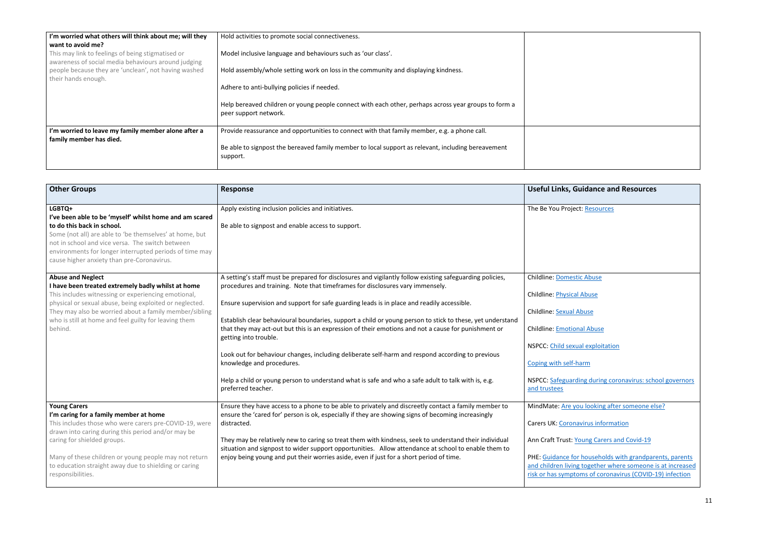| I'm worried what others will think about me; will they<br>want to avoid me?                              | Hold activities to promote social connectiveness.                                                                                                   |  |
|----------------------------------------------------------------------------------------------------------|-----------------------------------------------------------------------------------------------------------------------------------------------------|--|
| This may link to feelings of being stigmatised or<br>awareness of social media behaviours around judging | Model inclusive language and behaviours such as 'our class'.                                                                                        |  |
| people because they are 'unclean', not having washed<br>their hands enough.                              | Hold assembly/whole setting work on loss in the community and displaying kindness.                                                                  |  |
|                                                                                                          | Adhere to anti-bullying policies if needed.<br>Help bereaved children or young people connect with each other, perhaps across year groups to form a |  |
|                                                                                                          | peer support network.                                                                                                                               |  |
| I'm worried to leave my family member alone after a<br>family member has died.                           | Provide reassurance and opportunities to connect with that family member, e.g. a phone call.                                                        |  |
|                                                                                                          | Be able to signpost the bereaved family member to local support as relevant, including bereavement<br>support.                                      |  |

| <b>Other Groups</b>                                                                                                                                                                                                                                                                                                                                 | <b>Response</b>                                                                                                                                                                                                                                                                                                                                                                                                                                                                                                                                                                                                                                                                                                                                                                                   | Useful Links, 0                                                                                                                                                            |
|-----------------------------------------------------------------------------------------------------------------------------------------------------------------------------------------------------------------------------------------------------------------------------------------------------------------------------------------------------|---------------------------------------------------------------------------------------------------------------------------------------------------------------------------------------------------------------------------------------------------------------------------------------------------------------------------------------------------------------------------------------------------------------------------------------------------------------------------------------------------------------------------------------------------------------------------------------------------------------------------------------------------------------------------------------------------------------------------------------------------------------------------------------------------|----------------------------------------------------------------------------------------------------------------------------------------------------------------------------|
| LGBTQ+<br>I've been able to be 'myself' whilst home and am scared<br>to do this back in school.<br>Some (not all) are able to 'be themselves' at home, but<br>not in school and vice versa. The switch between<br>environments for longer interrupted periods of time may<br>cause higher anxiety than pre-Coronavirus.                             | Apply existing inclusion policies and initiatives.<br>Be able to signpost and enable access to support.                                                                                                                                                                                                                                                                                                                                                                                                                                                                                                                                                                                                                                                                                           | The Be You Proje                                                                                                                                                           |
| <b>Abuse and Neglect</b><br>I have been treated extremely badly whilst at home<br>This includes witnessing or experiencing emotional,<br>physical or sexual abuse, being exploited or neglected.<br>They may also be worried about a family member/sibling<br>who is still at home and feel guilty for leaving them<br>behind.                      | A setting's staff must be prepared for disclosures and vigilantly follow existing safeguarding policies,<br>procedures and training. Note that timeframes for disclosures vary immensely.<br>Ensure supervision and support for safe guarding leads is in place and readily accessible.<br>Establish clear behavioural boundaries, support a child or young person to stick to these, yet understand<br>that they may act-out but this is an expression of their emotions and not a cause for punishment or<br>getting into trouble.<br>Look out for behaviour changes, including deliberate self-harm and respond according to previous<br>knowledge and procedures.<br>Help a child or young person to understand what is safe and who a safe adult to talk with is, e.g.<br>preferred teacher. | <b>Childline: Domes</b><br>Childline: Physica<br>Childline: Sexual<br>Childline: Emotic<br>NSPCC: Child sex<br>Coping with self-<br><b>NSPCC: Safeguar</b><br>and trustees |
| <b>Young Carers</b><br>I'm caring for a family member at home<br>This includes those who were carers pre-COVID-19, were<br>drawn into caring during this period and/or may be<br>caring for shielded groups.<br>Many of these children or young people may not return<br>to education straight away due to shielding or caring<br>responsibilities. | Ensure they have access to a phone to be able to privately and discreetly contact a family member to<br>ensure the 'cared for' person is ok, especially if they are showing signs of becoming increasingly<br>distracted.<br>They may be relatively new to caring so treat them with kindness, seek to understand their individual<br>situation and signpost to wider support opportunities. Allow attendance at school to enable them to<br>enjoy being young and put their worries aside, even if just for a short period of time.                                                                                                                                                                                                                                                              | MindMate: Are y<br>Carers UK: Coror<br>Ann Craft Trust:<br>PHE: Guidance fo<br>and children livir<br>risk or has sympt                                                     |

# **Guidance and Resources**

ject: <u>Resources</u>

estic Abuse

cal Abuse

<mark>Il Abuse</mark>

ional Abuse

xual exploitation

f-harm

Integuarding during coronavirus: school governors

you looking after someone else?

navirus information

**Young Carers and Covid-19** 

for households with grandparents, parents ing together where someone is at increased [risk or has symptoms of coronavirus \(COVID-19\) infection](https://www.gov.uk/government/publications/covid-19-stay-at-home-guidance/guidance-for-households-with-grandparents-parents-and-children-living-together-where-someone-is-at-increased-risk-or-has-symptoms-of-coronavirus-cov#163961_20200504102717)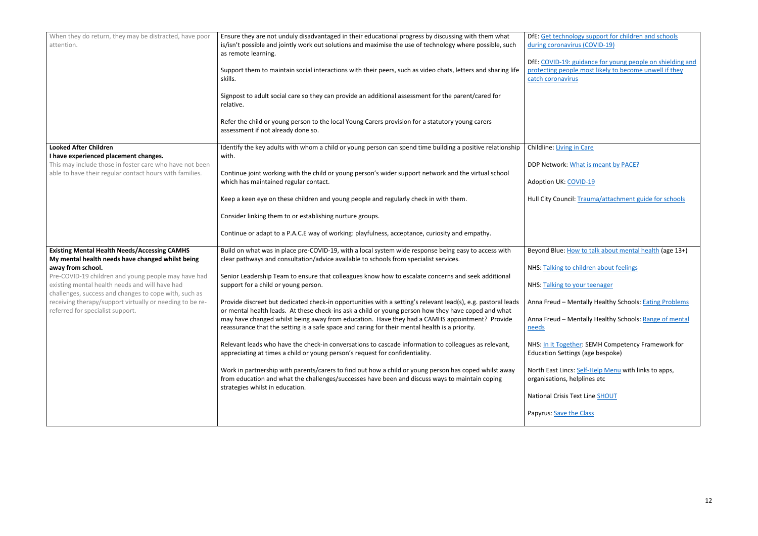| When they do return, they may be distracted, have poor<br>attention.                                                                                                                                                                                                                                                                                                                           | Ensure they are not unduly disadvantaged in their educational progress by discussing with them what<br>is/isn't possible and jointly work out solutions and maximise the use of technology where possible, such<br>as remote learning.<br>Support them to maintain social interactions with their peers, such as video chats, letters and sharing life<br>skills.<br>Signpost to adult social care so they can provide an additional assessment for the parent/cared for<br>relative.<br>Refer the child or young person to the local Young Carers provision for a statutory young carers<br>assessment if not already done so.                                                                                                                                                                                                                                                                                                                                                                                                                                                                                                                                                                             | DfE: Get technology support fo<br>during coronavirus (COVID-19)<br>DfE: COVID-19: guidance for yo<br>protecting people most likely to<br>catch coronavirus                                                                                                                                                                                                                              |
|------------------------------------------------------------------------------------------------------------------------------------------------------------------------------------------------------------------------------------------------------------------------------------------------------------------------------------------------------------------------------------------------|-------------------------------------------------------------------------------------------------------------------------------------------------------------------------------------------------------------------------------------------------------------------------------------------------------------------------------------------------------------------------------------------------------------------------------------------------------------------------------------------------------------------------------------------------------------------------------------------------------------------------------------------------------------------------------------------------------------------------------------------------------------------------------------------------------------------------------------------------------------------------------------------------------------------------------------------------------------------------------------------------------------------------------------------------------------------------------------------------------------------------------------------------------------------------------------------------------------|-----------------------------------------------------------------------------------------------------------------------------------------------------------------------------------------------------------------------------------------------------------------------------------------------------------------------------------------------------------------------------------------|
| <b>Looked After Children</b><br>I have experienced placement changes.<br>This may include those in foster care who have not been<br>able to have their regular contact hours with families.                                                                                                                                                                                                    | Identify the key adults with whom a child or young person can spend time building a positive relationship<br>with.<br>Continue joint working with the child or young person's wider support network and the virtual school<br>which has maintained regular contact.<br>Keep a keen eye on these children and young people and regularly check in with them.<br>Consider linking them to or establishing nurture groups.<br>Continue or adapt to a P.A.C.E way of working: playfulness, acceptance, curiosity and empathy.                                                                                                                                                                                                                                                                                                                                                                                                                                                                                                                                                                                                                                                                                   | Childline: Living in Care<br>DDP Network: What is meant b<br>Adoption UK: COVID-19<br>Hull City Council: Trauma/attac                                                                                                                                                                                                                                                                   |
| <b>Existing Mental Health Needs/Accessing CAMHS</b><br>My mental health needs have changed whilst being<br>away from school.<br>Pre-COVID-19 children and young people may have had<br>existing mental health needs and will have had<br>challenges, success and changes to cope with, such as<br>receiving therapy/support virtually or needing to be re-<br>referred for specialist support. | Build on what was in place pre-COVID-19, with a local system wide response being easy to access with<br>clear pathways and consultation/advice available to schools from specialist services.<br>Senior Leadership Team to ensure that colleagues know how to escalate concerns and seek additional<br>support for a child or young person.<br>Provide discreet but dedicated check-in opportunities with a setting's relevant lead(s), e.g. pastoral leads<br>or mental health leads. At these check-ins ask a child or young person how they have coped and what<br>may have changed whilst being away from education. Have they had a CAMHS appointment? Provide<br>reassurance that the setting is a safe space and caring for their mental health is a priority.<br>Relevant leads who have the check-in conversations to cascade information to colleagues as relevant,<br>appreciating at times a child or young person's request for confidentiality.<br>Work in partnership with parents/carers to find out how a child or young person has coped whilst away<br>from education and what the challenges/successes have been and discuss ways to maintain coping<br>strategies whilst in education. | Beyond Blue: How to talk about<br>NHS: Talking to children about<br>NHS: Talking to your teenager<br>Anna Freud - Mentally Healthy<br>Anna Freud - Mentally Healthy<br>needs<br>NHS: In It Together: SEMH Com<br><b>Education Settings (age bespok</b><br>North East Lincs: Self-Help Men<br>organisations, helplines etc<br>National Crisis Text Line SHOUT<br>Papyrus: Save the Class |

| DfE: Get technology support for children and schools                                                                                     |
|------------------------------------------------------------------------------------------------------------------------------------------|
| during coronavirus (COVID-19)                                                                                                            |
| DfE: COVID-19: guidance for young people on shielding and<br>protecting people most likely to become unwell if they<br>catch coronavirus |
|                                                                                                                                          |
|                                                                                                                                          |
|                                                                                                                                          |
|                                                                                                                                          |
|                                                                                                                                          |
| Childline: Living in Care                                                                                                                |
| DDP Network: What is meant by PACE?                                                                                                      |
| Adoption UK: COVID-19                                                                                                                    |
| Hull City Council: Trauma/attachment guide for schools                                                                                   |
|                                                                                                                                          |
|                                                                                                                                          |
|                                                                                                                                          |
| Beyond Blue: How to talk about mental health (age 13+)                                                                                   |
| NHS: Talking to children about feelings                                                                                                  |
|                                                                                                                                          |
| NHS: Talking to your teenager                                                                                                            |
| Anna Freud - Mentally Healthy Schools: <b>Eating Problems</b>                                                                            |
| Anna Freud - Mentally Healthy Schools: Range of mental<br>needs                                                                          |
| NHS: In It Together: SEMH Competency Framework for<br><b>Education Settings (age bespoke)</b>                                            |
| North East Lincs: Self-Help Menu with links to apps,<br>organisations, helplines etc                                                     |
| National Crisis Text Line SHOUT                                                                                                          |
| Papyrus: Save the Class                                                                                                                  |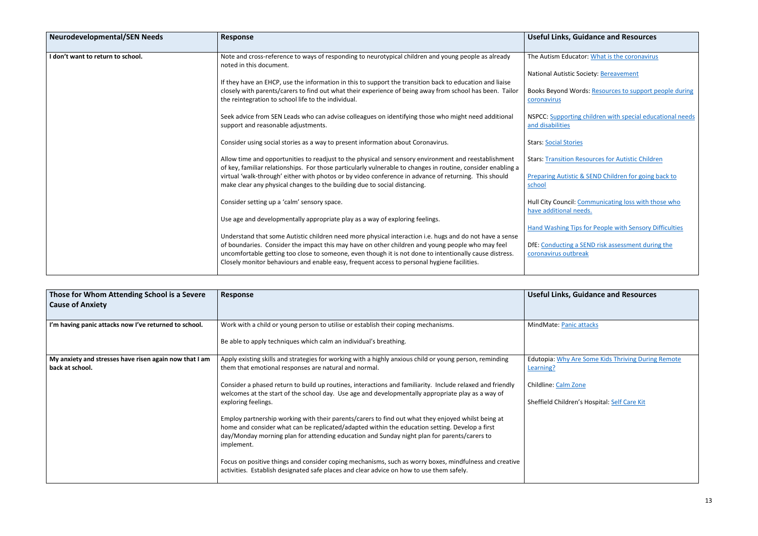| <b>Neurodevelopmental/SEN Needs</b> | Response                                                                                                                                                                                                             | Useful Links,                              |
|-------------------------------------|----------------------------------------------------------------------------------------------------------------------------------------------------------------------------------------------------------------------|--------------------------------------------|
| I don't want to return to school.   | Note and cross-reference to ways of responding to neurotypical children and young people as already<br>noted in this document.                                                                                       | The Autism Educ                            |
|                                     |                                                                                                                                                                                                                      | <b>National Autistic</b>                   |
|                                     | If they have an EHCP, use the information in this to support the transition back to education and liaise                                                                                                             |                                            |
|                                     | closely with parents/carers to find out what their experience of being away from school has been. Tailor<br>the reintegration to school life to the individual.                                                      | Books Beyond W<br>coronavirus              |
|                                     | Seek advice from SEN Leads who can advise colleagues on identifying those who might need additional<br>support and reasonable adjustments.                                                                           | <b>NSPCC: Supporti</b><br>and disabilities |
|                                     | Consider using social stories as a way to present information about Coronavirus.                                                                                                                                     | Stars: Social Stor                         |
|                                     | Allow time and opportunities to readjust to the physical and sensory environment and reestablishment<br>of key, familiar relationships. For those particularly vulnerable to changes in routine, consider enabling a | <b>Stars: Transition</b>                   |
|                                     | virtual 'walk-through' either with photos or by video conference in advance of returning. This should                                                                                                                | <b>Preparing Autist</b>                    |
|                                     | make clear any physical changes to the building due to social distancing.                                                                                                                                            | school                                     |
|                                     | Consider setting up a 'calm' sensory space.                                                                                                                                                                          | <b>Hull City Council</b>                   |
|                                     |                                                                                                                                                                                                                      | have additional                            |
|                                     | Use age and developmentally appropriate play as a way of exploring feelings.                                                                                                                                         | <b>Hand Washing T</b>                      |
|                                     | Understand that some Autistic children need more physical interaction i.e. hugs and do not have a sense                                                                                                              |                                            |
|                                     | of boundaries. Consider the impact this may have on other children and young people who may feel                                                                                                                     | <b>DfE: Conducting</b>                     |
|                                     | uncomfortable getting too close to someone, even though it is not done to intentionally cause distress.                                                                                                              | coronavirus outl                           |
|                                     | Closely monitor behaviours and enable easy, frequent access to personal hygiene facilities.                                                                                                                          |                                            |

| Those for Whom Attending School is a Severe<br><b>Cause of Anxiety</b>    | <b>Response</b>                                                                                                                                                                                                                                                                                                   | Useful Links,                          |
|---------------------------------------------------------------------------|-------------------------------------------------------------------------------------------------------------------------------------------------------------------------------------------------------------------------------------------------------------------------------------------------------------------|----------------------------------------|
| I'm having panic attacks now I've returned to school.                     | Work with a child or young person to utilise or establish their coping mechanisms.                                                                                                                                                                                                                                | MindMate: Pani                         |
|                                                                           | Be able to apply techniques which calm an individual's breathing.                                                                                                                                                                                                                                                 |                                        |
| My anxiety and stresses have risen again now that I am<br>back at school. | Apply existing skills and strategies for working with a highly anxious child or young person, reminding<br>them that emotional responses are natural and normal.                                                                                                                                                  | Edutopia: Why A<br>Learning?           |
|                                                                           | Consider a phased return to build up routines, interactions and familiarity. Include relaxed and friendly<br>welcomes at the start of the school day. Use age and developmentally appropriate play as a way of<br>exploring feelings.                                                                             | Childline: Calm Z<br>Sheffield Childre |
|                                                                           | Employ partnership working with their parents/carers to find out what they enjoyed whilst being at<br>home and consider what can be replicated/adapted within the education setting. Develop a first<br>day/Monday morning plan for attending education and Sunday night plan for parents/carers to<br>implement. |                                        |
|                                                                           | Focus on positive things and consider coping mechanisms, such as worry boxes, mindfulness and creative<br>activities. Establish designated safe places and clear advice on how to use them safely.                                                                                                                |                                        |

## **Guidance and Resources**

Icator: [What is the coronavirus](https://littlepuddins.ie/wp-content/uploads/2020/03/The-Corona-Virus-Free-Printable-Updated-2-The-Autism-Educator-.pdf)

c Society: **Bereavement** 

**Nords: Resources to support people during** 

ing children with special educational needs

ories

n Resources for Autistic Children

tic & SEND Children for going back to

il: Communicating loss with those who needs.

**Tips for People with Sensory Difficulties** 

a SEND risk assessment during the break

# **Guidance and Resources**

ic attacks

Are Some Kids Thriving During Remote

Zone

en's Hospital: <u>[Self Care Kit](https://www.sheffieldchildrens.nhs.uk/download/766/coronavirus-resources/9747/self-care-kit-covid-19.pdf)</u>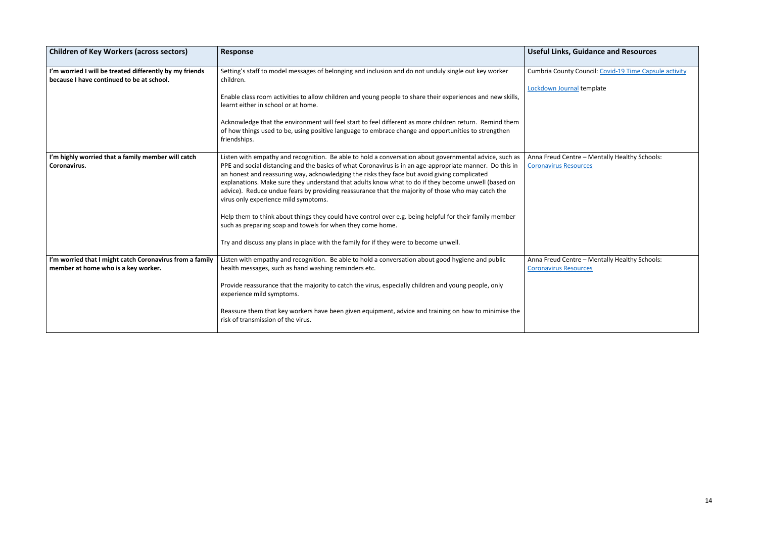| <b>Useful Links, Guidance and Resources</b>                                   |
|-------------------------------------------------------------------------------|
| Cumbria County Council: Covid-19 Time Capsule activity                        |
| Lockdown Journal template                                                     |
|                                                                               |
|                                                                               |
| Anna Freud Centre - Mentally Healthy Schools:<br><b>Coronavirus Resources</b> |
|                                                                               |
|                                                                               |
|                                                                               |
| Anna Freud Centre - Mentally Healthy Schools:                                 |
| <b>Coronavirus Resources</b>                                                  |
|                                                                               |
|                                                                               |

| <b>Children of Key Workers (across sectors)</b>                                                      | <b>Response</b>                                                                                                                                                                                                                                                                                                                                                                                                                                                                                                                                                                                                                                                                                                                                                                                                                          | <b>Useful Links, Guidance and Resources</b>                                |
|------------------------------------------------------------------------------------------------------|------------------------------------------------------------------------------------------------------------------------------------------------------------------------------------------------------------------------------------------------------------------------------------------------------------------------------------------------------------------------------------------------------------------------------------------------------------------------------------------------------------------------------------------------------------------------------------------------------------------------------------------------------------------------------------------------------------------------------------------------------------------------------------------------------------------------------------------|----------------------------------------------------------------------------|
| I'm worried I will be treated differently by my friends<br>because I have continued to be at school. | Setting's staff to model messages of belonging and inclusion and do not unduly single out key worker<br>children.<br>Enable class room activities to allow children and young people to share their experiences and new skills,<br>learnt either in school or at home.<br>Acknowledge that the environment will feel start to feel different as more children return. Remind them<br>of how things used to be, using positive language to embrace change and opportunities to strengthen<br>friendships.                                                                                                                                                                                                                                                                                                                                 | Cumbria County Council: Covid-19 Time Caps<br>Lockdown Journal template    |
| I'm highly worried that a family member will catch<br>Coronavirus.                                   | Listen with empathy and recognition. Be able to hold a conversation about governmental advice, such as<br>PPE and social distancing and the basics of what Coronavirus is in an age-appropriate manner. Do this in<br>an honest and reassuring way, acknowledging the risks they face but avoid giving complicated<br>explanations. Make sure they understand that adults know what to do if they become unwell (based on<br>advice). Reduce undue fears by providing reassurance that the majority of those who may catch the<br>virus only experience mild symptoms.<br>Help them to think about things they could have control over e.g. being helpful for their family member<br>such as preparing soap and towels for when they come home.<br>Try and discuss any plans in place with the family for if they were to become unwell. | Anna Freud Centre - Mentally Healthy Schoo<br><b>Coronavirus Resources</b> |
| I'm worried that I might catch Coronavirus from a family<br>member at home who is a key worker.      | Listen with empathy and recognition. Be able to hold a conversation about good hygiene and public<br>health messages, such as hand washing reminders etc.<br>Provide reassurance that the majority to catch the virus, especially children and young people, only<br>experience mild symptoms.<br>Reassure them that key workers have been given equipment, advice and training on how to minimise the<br>risk of transmission of the virus.                                                                                                                                                                                                                                                                                                                                                                                             | Anna Freud Centre - Mentally Healthy Schoo<br><b>Coronavirus Resources</b> |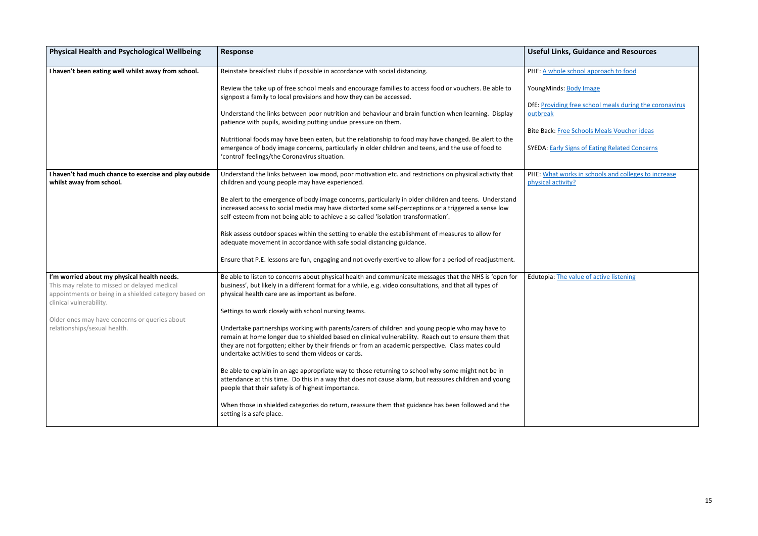| <b>Physical Health and Psychological Wellbeing</b>                                                                                                                                                                                                               | <b>Response</b>                                                                                                                                                                                                                                                                                                                                                     | <b>Useful Links, Guidance and Resources</b>                                                                |
|------------------------------------------------------------------------------------------------------------------------------------------------------------------------------------------------------------------------------------------------------------------|---------------------------------------------------------------------------------------------------------------------------------------------------------------------------------------------------------------------------------------------------------------------------------------------------------------------------------------------------------------------|------------------------------------------------------------------------------------------------------------|
|                                                                                                                                                                                                                                                                  |                                                                                                                                                                                                                                                                                                                                                                     |                                                                                                            |
| I haven't been eating well whilst away from school.                                                                                                                                                                                                              | Reinstate breakfast clubs if possible in accordance with social distancing.                                                                                                                                                                                                                                                                                         | PHE: A whole school approach to food                                                                       |
|                                                                                                                                                                                                                                                                  | Review the take up of free school meals and encourage families to access food or vouchers. Be able to<br>signpost a family to local provisions and how they can be accessed.                                                                                                                                                                                        | YoungMinds: Body Image<br>DfE: Providing free school meals during the coronavirus                          |
|                                                                                                                                                                                                                                                                  | Understand the links between poor nutrition and behaviour and brain function when learning. Display<br>patience with pupils, avoiding putting undue pressure on them.                                                                                                                                                                                               | outbreak                                                                                                   |
|                                                                                                                                                                                                                                                                  | Nutritional foods may have been eaten, but the relationship to food may have changed. Be alert to the<br>emergence of body image concerns, particularly in older children and teens, and the use of food to<br>'control' feelings/the Coronavirus situation.                                                                                                        | <b>Bite Back: Free Schools Meals Voucher ideas</b><br><b>SYEDA: Early Signs of Eating Related Concerns</b> |
| I haven't had much chance to exercise and play outside<br>whilst away from school.                                                                                                                                                                               | Understand the links between low mood, poor motivation etc. and restrictions on physical activity that<br>children and young people may have experienced.                                                                                                                                                                                                           | PHE: What works in schools and colleges to increase<br>physical activity?                                  |
|                                                                                                                                                                                                                                                                  | Be alert to the emergence of body image concerns, particularly in older children and teens. Understand<br>increased access to social media may have distorted some self-perceptions or a triggered a sense low<br>self-esteem from not being able to achieve a so called 'isolation transformation'.                                                                |                                                                                                            |
|                                                                                                                                                                                                                                                                  | Risk assess outdoor spaces within the setting to enable the establishment of measures to allow for<br>adequate movement in accordance with safe social distancing guidance.                                                                                                                                                                                         |                                                                                                            |
|                                                                                                                                                                                                                                                                  | Ensure that P.E. lessons are fun, engaging and not overly exertive to allow for a period of readjustment.                                                                                                                                                                                                                                                           |                                                                                                            |
| I'm worried about my physical health needs.<br>This may relate to missed or delayed medical<br>appointments or being in a shielded category based on<br>clinical vulnerability.<br>Older ones may have concerns or queries about<br>relationships/sexual health. | Be able to listen to concerns about physical health and communicate messages that the NHS is 'open for<br>business', but likely in a different format for a while, e.g. video consultations, and that all types of<br>physical health care are as important as before.                                                                                              | Edutopia: The value of active listening                                                                    |
|                                                                                                                                                                                                                                                                  | Settings to work closely with school nursing teams.                                                                                                                                                                                                                                                                                                                 |                                                                                                            |
|                                                                                                                                                                                                                                                                  | Undertake partnerships working with parents/carers of children and young people who may have to<br>remain at home longer due to shielded based on clinical vulnerability. Reach out to ensure them that<br>they are not forgotten; either by their friends or from an academic perspective. Class mates could<br>undertake activities to send them videos or cards. |                                                                                                            |
|                                                                                                                                                                                                                                                                  | Be able to explain in an age appropriate way to those returning to school why some might not be in<br>attendance at this time. Do this in a way that does not cause alarm, but reassures children and young<br>people that their safety is of highest importance.                                                                                                   |                                                                                                            |
|                                                                                                                                                                                                                                                                  | When those in shielded categories do return, reassure them that guidance has been followed and the<br>setting is a safe place.                                                                                                                                                                                                                                      |                                                                                                            |